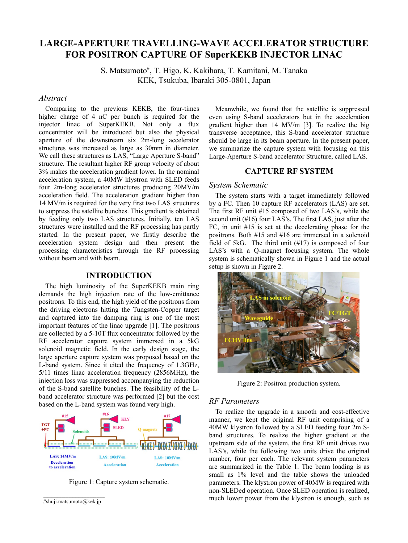# **LARGE-APERTURE TRAVELLING-WAVE ACCELERATOR STRUCTURE FOR POSITRON CAPTURE OF SuperKEKB INJECTOR LINAC**

S. Matsumoto<sup>#</sup>, T. Higo, K. Kakihara, T. Kamitani, M. Tanaka KEK, Tsukuba, Ibaraki 305-0801, Japan

# *Abstract*

Comparing to the previous KEKB, the four-times higher charge of 4 nC per bunch is required for the injector linac of SuperKEKB. Not only a flux concentrator will be introduced but also the physical aperture of the downstream six 2m-long accelerator structures was increased as large as 30mm in diameter. We call these structures as LAS, "Large Aperture S-band" structure. The resultant higher RF group velocity of about 3% makes the acceleration gradient lower. In the nominal acceleration system, a 40MW klystron with SLED feeds four 2m-long accelerator structures producing 20MV/m acceleration field. The acceleration gradient higher than 14 MV/m is required for the very first two LAS structures to suppress the satellite bunches. This gradient is obtained by feeding only two LAS structures. Initially, ten LAS structures were installed and the RF processing has partly started. In the present paper, we firstly describe the acceleration system design and then present the processing characteristics through the RF processing without beam and with beam.

#### **INTRODUCTION**

The high luminosity of the SuperKEKB main ring demands the high injection rate of the low-emittance positrons. To this end, the high yield of the positrons from the driving electrons hitting the Tungsten-Copper target and captured into the damping ring is one of the most important features of the linac upgrade [1]. The positrons are collected by a 5-10T flux concentrator followed by the RF accelerator capture system immersed in a 5kG solenoid magnetic field. In the early design stage, the large aperture capture system was proposed based on the L-band system. Since it cited the frequency of 1.3GHz, 5/11 times linac acceleration frequency (2856MHz), the injection loss was suppressed accompanying the reduction of the S-band satellite bunches. The feasibility of the Lband accelerator structure was performed [2] but the cost based on the L-band system was found very high.



Figure 1: Capture system schematic.

```
#shuji.matsumoto@kek.jp
```
Meanwhile, we found that the satellite is suppressed even using S-band accelerators but in the acceleration gradient higher than 14 MV/m [3]. To realize the big transverse acceptance, this S-band accelerator structure should be large in its beam aperture. In the present paper, we summarize the capture system with focusing on this Large-Aperture S-band accelerator Structure, called LAS.

# **CAPTURE RF SYSTEM**

#### *System Schematic*

The system starts with a target immediately followed by a FC. Then 10 capture RF accelerators (LAS) are set. The first RF unit #15 composed of two LAS's, while the second unit (#16) four LAS's. The first LAS, just after the FC, in unit #15 is set at the decelerating phase for the positrons. Both #15 and #16 are immersed in a solenoid field of 5kG. The third unit (#17) is composed of four LAS's with a Q-magnet focusing system. The whole system is schematically shown in Figure 1 and the actual setup is shown in Figure 2.



Figure 2: Positron production system.

#### *RF Parameters*

To realize the upgrade in a smooth and cost-effective manner, we kept the original RF unit comprising of a 40MW klystron followed by a SLED feeding four 2m Sband structures. To realize the higher gradient at the upstream side of the system, the first RF unit drives two LAS's, while the following two units drive the original number, four per each. The relevant system parameters are summarized in the Table 1. The beam loading is as small as 1% level and the table shows the unloaded parameters. The klystron power of 40MW is required with non-SLEDed operation. Once SLED operation is realized, much lower power from the klystron is enough, such as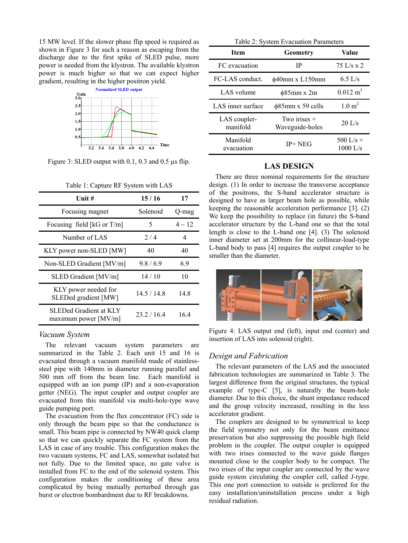15 MW level. If the slower phase flip speed is required as shown in Figure 3 for such a reason as escaping from the discharge due to the first spike of SLED pulse, more power is needed from the klystron. The available klystron power is much higher so that we can expect higher gradient, resulting in the higher positron yield.



Figure 3: SLED output with  $0.1$ ,  $0.3$  and  $0.5$  us flip.

| Unit $#$                                       | 15/16       | 17          |  |
|------------------------------------------------|-------------|-------------|--|
| Focusing magnet                                | Solenoid    | Q-mag       |  |
| Focusing field [ $kG$ or T/m]                  | 5           | $4 \sim 12$ |  |
| Number of LAS                                  | 2/4         | 4           |  |
| KLY power non-SLED [MW]                        | 40          | 40          |  |
| Non-SLED Gradient [MV/m]                       | 9.8/6.9     | 6.9         |  |
| SLED Gradient [MV/m]                           | 14/10       | 10          |  |
| KLY power needed for<br>SLEDed gradient [MW]   | 14.5/14.8   | 14.8        |  |
| SLEDed Gradient at KLY<br>maximum power [MV/m] | 23 2 / 16 4 | 164         |  |

Table 1: Capture RF System with LAS

#### *Vacuum System*

The relevant vacuum system parameters are summarized in the Table 2. Each unit 15 and 16 is evacuated through a vacuum manifold made of stainlesssteel pipe with 140mm in diameter running parallel and 500 mm off from the beam line. Each manifold is equipped with an ion pump (IP) and a non-evaporation getter (NEG). The input coupler and output coupler are evacuated from this manifold via multi-hole-type wave guide pumping port.

The evacuation from the flux concentrator (FC) side is only through the beam pipe so that the conductance is small. This beam pipe is connected by NW40 quick clamp so that we can quickly separate the FC system from the LAS in case of any trouble. This configuration makes the two vacuum systems, FC and LAS, somewhat isolated but not fully. Due to the limited space, no gate valve is installed from FC to the end of the solenoid system. This configuration makes the conditioning of these area complicated by being mutually perturbed through gas burst or electron bombardment due to RF breakdowns.

| Table 2: System Evacuation Parameters |  |
|---------------------------------------|--|
|---------------------------------------|--|

| <b>Item</b>              | <b>Geometry</b>                 | Value                     |
|--------------------------|---------------------------------|---------------------------|
| FC evacuation            | IP                              | $75$ L/s x 2              |
| FC-LAS conduct.          | $\phi$ 40mm x L150mm            | $6.5$ L/s                 |
| LAS volume               | $\phi$ 85mm x 2m                | $0.012 \text{ m}^3$       |
| LAS inner surface        | $\phi$ 85mm x 59 cells          | $1.0 \text{ m}^2$         |
| LAS coupler-<br>manifold | Two irises +<br>Waveguide-holes | $20$ L/s                  |
| Manifold<br>evacuation   | $IP+NEG$                        | 500 $1/s +$<br>$1000$ L/s |

# **LAS DESIGN**

There are three nominal requirements for the structure design. (1) In order to increase the transverse acceptance of the positrons, the S-band accelerator structure is designed to have as larger beam hole as possible, while keeping the reasonable acceleration performance [3]. (2) We keep the possibility to replace (in future) the S-band accelerator structure by the L-band one so that the total length is close to the L-band one [4]. (3) The solenoid inner diameter set at 200mm for the collinear-load-type L-band body to pass [4] requires the output coupler to be smaller than the diameter.



Figure 4: LAS output end (left), input end (center) and insertion of LAS into solenoid (right).

## *Design and Fabrication*

The relevant parameters of the LAS and the associated fabrication technologies are summarized in Table 3. The largest difference from the original structures, the typical example of type-C [5], is naturally the beam-hole diameter. Due to this choice, the shunt impedance reduced and the group velocity increased, resulting in the less accelerator gradient.

The couplers are designed to be symmetrical to keep the field symmetry not only for the beam emittance preservation but also suppressing the possible high field problem in the coupler. The output coupler is equipped with two irises connected to the wave guide flanges mounted close to the coupler body to be compact. The two irises of the input coupler are connected by the wave guide system circulating the coupler cell, called J-type. This one port connection to outside is preferred for the easy installation/uninstallation process under a high residual radiation.